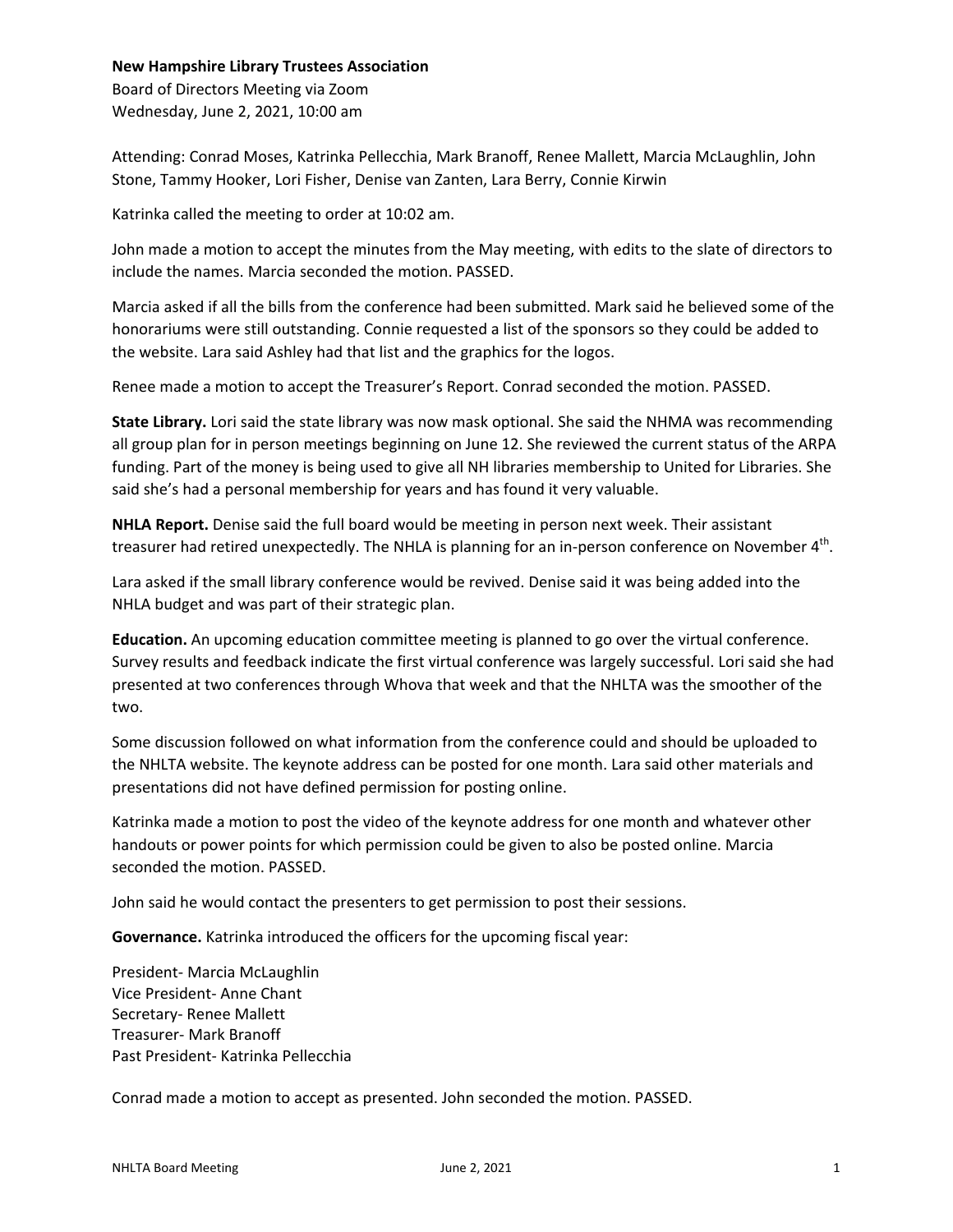## **New Hampshire Library Trustees Association**

Board of Directors Meeting via Zoom Wednesday, June 2, 2021, 10:00 am

Attending: Conrad Moses, Katrinka Pellecchia, Mark Branoff, Renee Mallett, Marcia McLaughlin, John Stone, Tammy Hooker, Lori Fisher, Denise van Zanten, Lara Berry, Connie Kirwin

Katrinka called the meeting to order at 10:02 am.

John made a motion to accept the minutes from the May meeting, with edits to the slate of directors to include the names. Marcia seconded the motion. PASSED.

Marcia asked if all the bills from the conference had been submitted. Mark said he believed some of the honorariums were still outstanding. Connie requested a list of the sponsors so they could be added to the website. Lara said Ashley had that list and the graphics for the logos.

Renee made a motion to accept the Treasurer's Report. Conrad seconded the motion. PASSED.

**State Library.** Lori said the state library was now mask optional. She said the NHMA was recommending all group plan for in person meetings beginning on June 12. She reviewed the current status of the ARPA funding. Part of the money is being used to give all NH libraries membership to United for Libraries. She said she's had a personal membership for years and has found it very valuable.

**NHLA Report.** Denise said the full board would be meeting in person next week. Their assistant treasurer had retired unexpectedly. The NHLA is planning for an in-person conference on November 4<sup>th</sup>.

Lara asked if the small library conference would be revived. Denise said it was being added into the NHLA budget and was part of their strategic plan.

**Education.** An upcoming education committee meeting is planned to go over the virtual conference. Survey results and feedback indicate the first virtual conference was largely successful. Lori said she had presented at two conferences through Whova that week and that the NHLTA was the smoother of the two.

Some discussion followed on what information from the conference could and should be uploaded to the NHLTA website. The keynote address can be posted for one month. Lara said other materials and presentations did not have defined permission for posting online.

Katrinka made a motion to post the video of the keynote address for one month and whatever other handouts or power points for which permission could be given to also be posted online. Marcia seconded the motion. PASSED.

John said he would contact the presenters to get permission to post their sessions.

**Governance.** Katrinka introduced the officers for the upcoming fiscal year:

President- Marcia McLaughlin Vice President- Anne Chant Secretary- Renee Mallett Treasurer- Mark Branoff Past President- Katrinka Pellecchia

Conrad made a motion to accept as presented. John seconded the motion. PASSED.